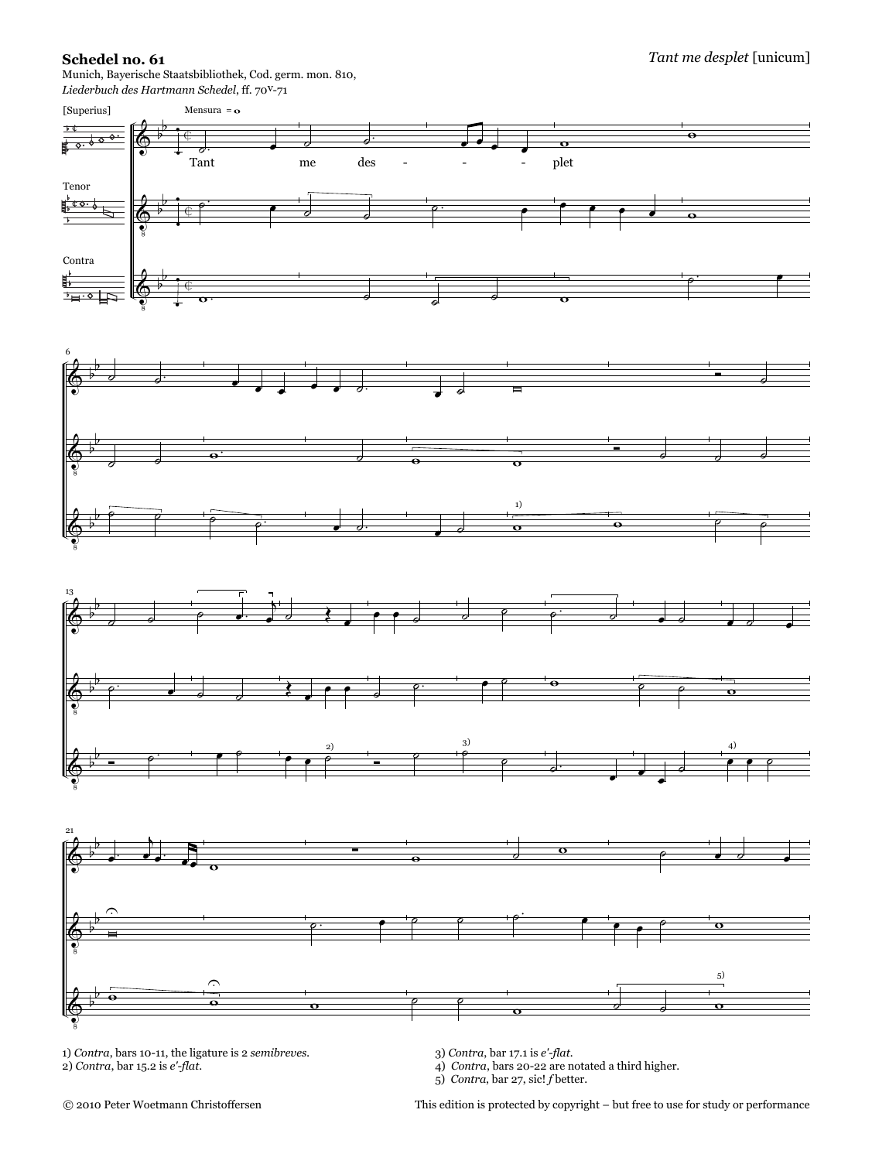## **Schedel no. 61**

Munich, Bayerische Staatsbibliothek, Cod. germ. mon. 810,







1) *Contra*, bars 10-11, the ligature is 2 *semibreves.* 2) *Contra*, bar 15.2 is *e'-flat*.

3) *Contra*, bar 17.1 is *e'-flat.*

4) *Contra*, bars 20-22 are notated a third higher. 5) *Contra*, bar 27, sic! *f* better.

This edition is protected by copyright – but free to use for study or performance